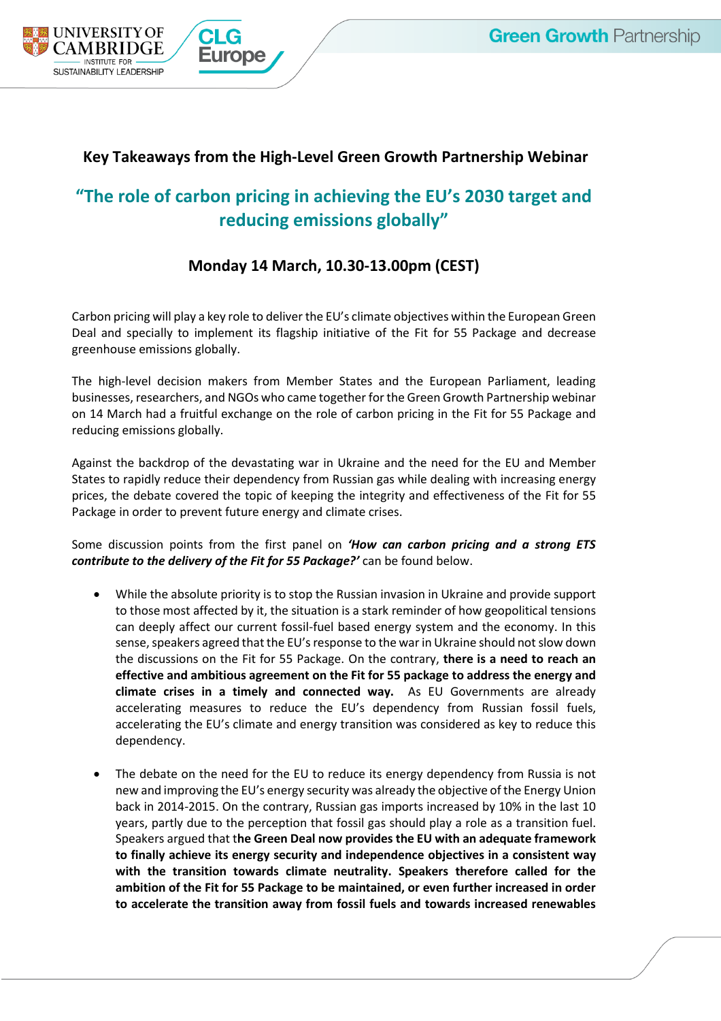

## **Key Takeaways from the High-Level Green Growth Partnership Webinar**

# **"The role of carbon pricing in achieving the EU's 2030 target and reducing emissions globally"**

### **Monday 14 March, 10.30-13.00pm (CEST)**

Carbon pricing will play a key role to deliver the EU's climate objectives within the European Green Deal and specially to implement its flagship initiative of the Fit for 55 Package and decrease greenhouse emissions globally.

The high-level decision makers from Member States and the European Parliament, leading businesses, researchers, and NGOs who came together for the Green Growth Partnership webinar on 14 March had a fruitful exchange on the role of carbon pricing in the Fit for 55 Package and reducing emissions globally.

Against the backdrop of the devastating war in Ukraine and the need for the EU and Member States to rapidly reduce their dependency from Russian gas while dealing with increasing energy prices, the debate covered the topic of keeping the integrity and effectiveness of the Fit for 55 Package in order to prevent future energy and climate crises.

Some discussion points from the first panel on *'How can carbon pricing and a strong ETS contribute to the delivery of the Fit for 55 Package?'* can be found below.

- While the absolute priority is to stop the Russian invasion in Ukraine and provide support to those most affected by it, the situation is a stark reminder of how geopolitical tensions can deeply affect our current fossil-fuel based energy system and the economy. In this sense, speakers agreed that the EU's response to the war in Ukraine should not slow down the discussions on the Fit for 55 Package. On the contrary, **there is a need to reach an effective and ambitious agreement on the Fit for 55 package to address the energy and climate crises in a timely and connected way.** As EU Governments are already accelerating measures to reduce the EU's dependency from Russian fossil fuels, accelerating the EU's climate and energy transition was considered as key to reduce this dependency.
- The debate on the need for the EU to reduce its energy dependency from Russia is not new and improving the EU's energy security was already the objective of the Energy Union back in 2014-2015. On the contrary, Russian gas imports increased by 10% in the last 10 years, partly due to the perception that fossil gas should play a role as a transition fuel. Speakers argued that t**he Green Deal now provides the EU with an adequate framework to finally achieve its energy security and independence objectives in a consistent way with the transition towards climate neutrality. Speakers therefore called for the ambition of the Fit for 55 Package to be maintained, or even further increased in order to accelerate the transition away from fossil fuels and towards increased renewables**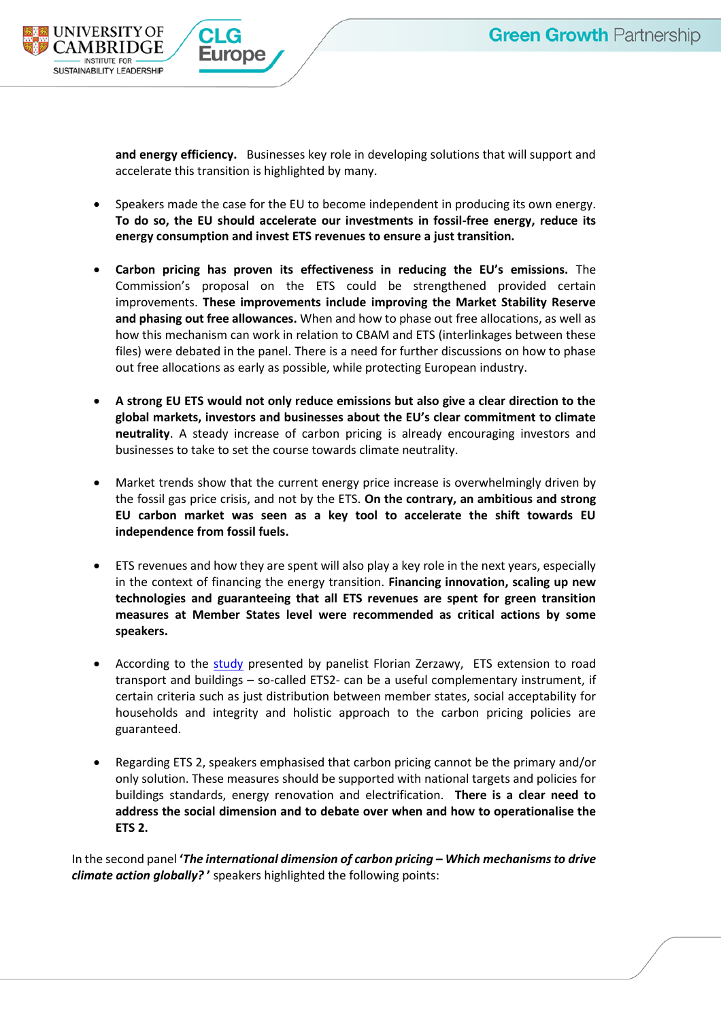

**and energy efficiency.** Businesses key role in developing solutions that will support and accelerate this transition is highlighted by many.

- Speakers made the case for the EU to become independent in producing its own energy. **To do so, the EU should accelerate our investments in fossil-free energy, reduce its energy consumption and invest ETS revenues to ensure a just transition.**
- **Carbon pricing has proven its effectiveness in reducing the EU's emissions.** The Commission's proposal on the ETS could be strengthened provided certain improvements. **These improvements include improving the Market Stability Reserve and phasing out free allowances.** When and how to phase out free allocations, as well as how this mechanism can work in relation to CBAM and ETS (interlinkages between these files) were debated in the panel. There is a need for further discussions on how to phase out free allocations as early as possible, while protecting European industry.
- **A strong EU ETS would not only reduce emissions but also give a clear direction to the global markets, investors and businesses about the EU's clear commitment to climate neutrality**. A steady increase of carbon pricing is already encouraging investors and businesses to take to set the course towards climate neutrality.
- Market trends show that the current energy price increase is overwhelmingly driven by the fossil gas price crisis, and not by the ETS. **On the contrary, an ambitious and strong EU carbon market was seen as a key tool to accelerate the shift towards EU independence from fossil fuels.**
- ETS revenues and how they are spent will also play a key role in the next years, especially in the context of financing the energy transition. **Financing innovation, scaling up new technologies and guaranteeing that all ETS revenues are spent for green transition measures at Member States level were recommended as critical actions by some speakers.**
- According to the [study](https://foes.de/publikationen/2022/2022-01_Study-Assessment-EU-ETS2.pdf) presented by panelist Florian Zerzawy, ETS extension to road transport and buildings – so-called ETS2- can be a useful complementary instrument, if certain criteria such as just distribution between member states, social acceptability for households and integrity and holistic approach to the carbon pricing policies are guaranteed.
- Regarding ETS 2, speakers emphasised that carbon pricing cannot be the primary and/or only solution. These measures should be supported with national targets and policies for buildings standards, energy renovation and electrification. **There is a clear need to address the social dimension and to debate over when and how to operationalise the ETS 2.**

In the second panel **'***The international dimension of carbon pricing – Which mechanisms to drive climate action globally?* **'** speakers highlighted the following points: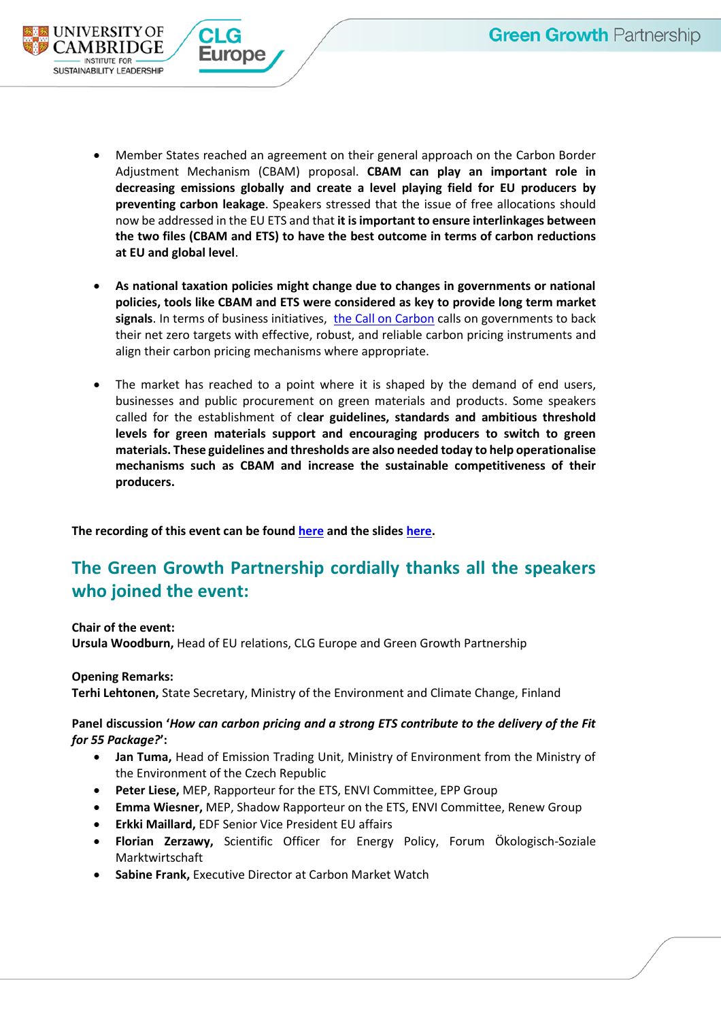

- Member States reached an agreement on their general approach on the Carbon Border Adjustment Mechanism (CBAM) proposal. **CBAM can play an important role in decreasing emissions globally and create a level playing field for EU producers by preventing carbon leakage**. Speakers stressed that the issue of free allocations should now be addressed in the EU ETS and that **it is important to ensure interlinkages between the two files (CBAM and ETS) to have the best outcome in terms of carbon reductions at EU and global level**.
- **As national taxation policies might change due to changes in governments or national policies, tools like CBAM and ETS were considered as key to provide long term market signals**. In terms of business initiatives, [the Call on Carbon](https://clc.fi/call-on-carbon/) calls on governments to back their net zero targets with effective, robust, and reliable carbon pricing instruments and align their carbon pricing mechanisms where appropriate.
- The market has reached to a point where it is shaped by the demand of end users, businesses and public procurement on green materials and products. Some speakers called for the establishment of c**lear guidelines, standards and ambitious threshold levels for green materials support and encouraging producers to switch to green materials. These guidelines and thresholds are also needed today to help operationalise mechanisms such as CBAM and increase the sustainable competitiveness of their producers.**

**The recording of this event can be found [here](https://www.youtube.com/watch?v=M6--otl32dc) and the slides [here.](https://www.corporateleadersgroup.com/files/final_slidedeck_greengrowthwebinar_14.03.2022_1.pdf)**

## **The Green Growth Partnership cordially thanks all the speakers who joined the event:**

**Chair of the event:** 

**Ursula Woodburn,** Head of EU relations, CLG Europe and Green Growth Partnership

#### **Opening Remarks:**

**Terhi Lehtonen,** State Secretary, Ministry of the Environment and Climate Change, Finland

### **Panel discussion '***How can carbon pricing and a strong ETS contribute to the delivery of the Fit for 55 Package?***':**

- **Jan Tuma,** Head of Emission Trading Unit, Ministry of Environment from the Ministry of the Environment of the Czech Republic
- **Peter Liese,** MEP, Rapporteur for the ETS, ENVI Committee, EPP Group
- **Emma Wiesner,** MEP, Shadow Rapporteur on the ETS, ENVI Committee, Renew Group
- **Erkki Maillard,** EDF Senior Vice President EU affairs
- **Florian Zerzawy,** Scientific Officer for Energy Policy, Forum Ökologisch-Soziale Marktwirtschaft
- **Sabine Frank,** Executive Director at Carbon Market Watch